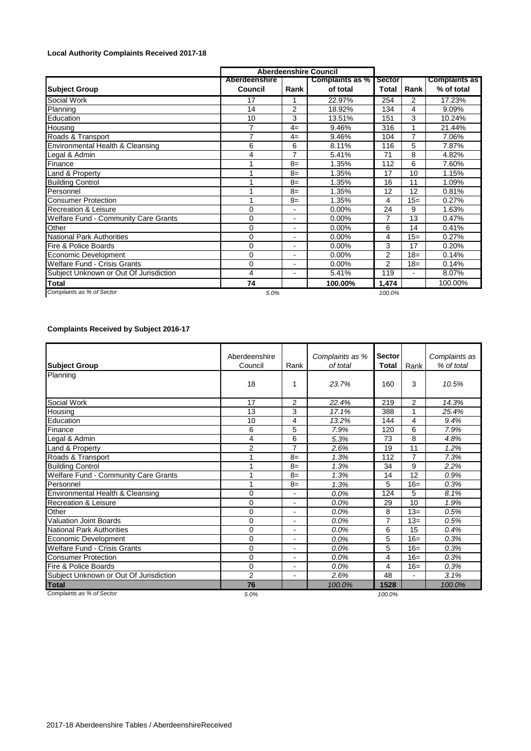## **Local Authority Complaints Received 2017-18**

|                                        |                          | <b>Aberdeenshire Council</b> |                             |                        |                |                                    |
|----------------------------------------|--------------------------|------------------------------|-----------------------------|------------------------|----------------|------------------------------------|
| <b>Subject Group</b>                   | Aberdeenshire<br>Council | Rank                         | Complaints as %<br>of total | <b>Sector</b><br>Total | Rank           | <b>Complaints as</b><br>% of total |
| Social Work                            | 17                       |                              | 22.97%                      | 254                    | 2              | 17.23%                             |
| Planning                               | 14                       | 2                            | 18.92%                      | 134                    | 4              | 9.09%                              |
| Education                              | 10                       | 3                            | 13.51%                      | 151                    | 3              | 10.24%                             |
| Housing                                | $\overline{7}$           | $4=$                         | 9.46%                       | 316                    | 1              | 21.44%                             |
| Roads & Transport                      | $\overline{7}$           | $4=$                         | 9.46%                       | 104                    | 7              | 7.06%                              |
| Environmental Health & Cleansing       | 6                        | 6                            | 8.11%                       | 116                    | 5              | 7.87%                              |
| Legal & Admin                          | 4                        | $\overline{7}$               | 5.41%                       | 71                     | 8              | 4.82%                              |
| Finance                                |                          | $8=$                         | 1.35%                       | 112                    | 6              | 7.60%                              |
| Land & Property                        |                          | $8=$                         | 1.35%                       | 17                     | 10             | 1.15%                              |
| <b>Building Control</b>                |                          | $8=$                         | 1.35%                       | 16                     | 11             | 1.09%                              |
| Personnel                              |                          | $8=$                         | 1.35%                       | 12                     | 12             | 0.81%                              |
| <b>Consumer Protection</b>             |                          | $8=$                         | 1.35%                       | 4                      | $15=$          | 0.27%                              |
| <b>Recreation &amp; Leisure</b>        | 0                        |                              | $0.00\%$                    | 24                     | 9              | 1.63%                              |
| Welfare Fund - Community Care Grants   | $\Omega$                 | $\blacksquare$               | $0.00\%$                    |                        | 13             | 0.47%                              |
| Other                                  | 0                        | $\overline{\phantom{a}}$     | $0.00\%$                    | 6                      | 14             | 0.41%                              |
| <b>National Park Authorities</b>       | 0                        | $\blacksquare$               | 0.00%                       | 4                      | $15=$          | 0.27%                              |
| Fire & Police Boards                   | $\Omega$                 |                              | 0.00%                       | 3                      | 17             | 0.20%                              |
| Economic Development                   | 0                        |                              | $0.00\%$                    | $\overline{2}$         | $18=$          | 0.14%                              |
| <b>Welfare Fund - Crisis Grants</b>    | $\Omega$                 |                              | 0.00%                       | $\overline{2}$         | $18=$          | 0.14%                              |
| Subject Unknown or Out Of Jurisdiction | 4                        | $\overline{\phantom{0}}$     | 5.41%                       | 119                    | $\blacksquare$ | 8.07%                              |
| <b>Total</b>                           | 74                       |                              | 100.00%                     | 1,474                  |                | 100.00%                            |
| Complaints as % of Sector              | 5.0%                     |                              |                             | 100.0%                 |                |                                    |

## **Complaints Received by Subject 2016-17**

|                                             | Aberdeenshire  |                          | Complaints as % | <b>Sector</b>  |                 | Complaints as |  |
|---------------------------------------------|----------------|--------------------------|-----------------|----------------|-----------------|---------------|--|
| <b>Subject Group</b>                        | Council        | Rank                     | of total        | Total          | Rank            | % of total    |  |
| Planning                                    |                |                          |                 |                |                 |               |  |
|                                             | 18             | 1                        | 23.7%           | 160            | 3               | 10.5%         |  |
| Social Work                                 | 17             | $\overline{2}$           | 22.4%           | 219            | 2               | 14.3%         |  |
| Housing                                     | 13             | 3                        | 17.1%           | 388            | 1               | 25.4%         |  |
| Education                                   | 10             | 4                        | 13.2%           | 144            | 4               | 9.4%          |  |
| Finance                                     | 6              | 5                        | 7.9%            | 120            | 6               | 7.9%          |  |
| Legal & Admin                               | 4              | 6                        | 5.3%            | 73             | 8               | 4.8%          |  |
| Land & Property                             | 2              | $\overline{7}$           | 2.6%            | 19             | 11              | 1.2%          |  |
| Roads & Transport                           |                | $8=$                     | 1.3%            | 112            | 7               | 7.3%          |  |
| <b>Building Control</b>                     |                | $8=$                     | 1.3%            | 34             | 9               | 2.2%          |  |
| <b>Welfare Fund - Community Care Grants</b> |                | $8=$                     | 1.3%            | 14             | $\overline{12}$ | 0.9%          |  |
| Personnel                                   |                | $8=$                     | 1.3%            | 5              | $16=$           | 0.3%          |  |
| Environmental Health & Cleansing            | $\Omega$       | -                        | 0.0%            | 124            | 5               | 8.1%          |  |
| <b>Recreation &amp; Leisure</b>             | $\Omega$       | $\blacksquare$           | 0.0%            | 29             | 10              | 1.9%          |  |
| Other                                       | $\Omega$       | $\overline{\phantom{a}}$ | 0.0%            | 8              | $13=$           | 0.5%          |  |
| <b>Valuation Joint Boards</b>               | $\Omega$       | $\overline{\phantom{a}}$ | 0.0%            | $\overline{7}$ | $13=$           | 0.5%          |  |
| National Park Authorities                   | $\Omega$       | $\blacksquare$           | 0.0%            | 6              | 15              | 0.4%          |  |
| Economic Development                        | $\Omega$       | $\blacksquare$           | 0.0%            | 5              | $16=$           | 0.3%          |  |
| Welfare Fund - Crisis Grants                | $\Omega$       | $\blacksquare$           | 0.0%            | 5              | $16=$           | 0.3%          |  |
| <b>Consumer Protection</b>                  | $\Omega$       | $\blacksquare$           | 0.0%            | 4              | $16=$           | 0.3%          |  |
| Fire & Police Boards                        | $\Omega$       | $\blacksquare$           | 0.0%            | 4              | $16=$           | 0.3%          |  |
| Subject Unknown or Out Of Jurisdiction      | $\overline{2}$ | -                        | 2.6%            | 48             |                 | 3.1%          |  |
| <b>Total</b>                                | 76             |                          | 100.0%          | 1528           |                 | 100.0%        |  |
| Complaints as % of Sector                   | 5.0%           |                          |                 | 100.0%         |                 |               |  |